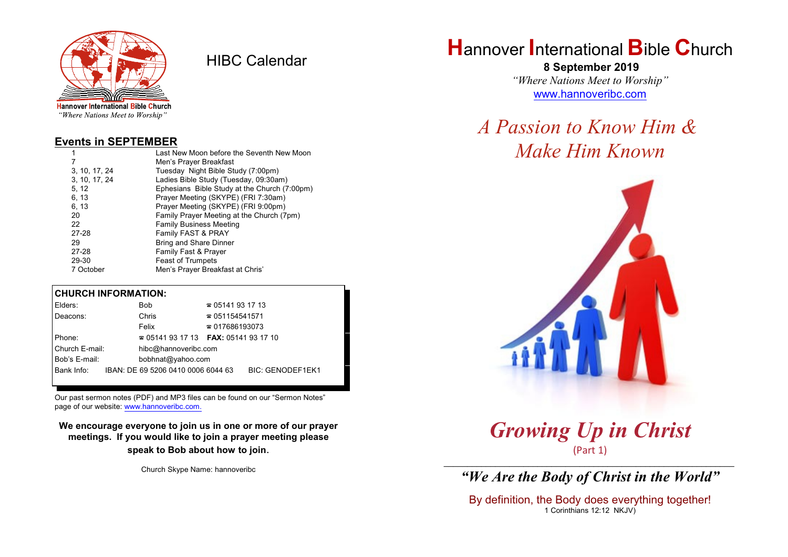

HIBC Calendar

"Where Nations Meet to Worship"

#### **Events in SEPTEMBER**

| 1             | Last New Moon before the Seventh New Moon    |  |  |
|---------------|----------------------------------------------|--|--|
| 7             | Men's Prayer Breakfast                       |  |  |
| 3, 10, 17, 24 | Tuesday Night Bible Study (7:00pm)           |  |  |
| 3, 10, 17, 24 | Ladies Bible Study (Tuesday, 09:30am)        |  |  |
| 5, 12         | Ephesians Bible Study at the Church (7:00pm) |  |  |
| 6, 13         | Prayer Meeting (SKYPE) (FRI 7:30am)          |  |  |
| 6, 13         | Prayer Meeting (SKYPE) (FRI 9:00pm)          |  |  |
| 20            | Family Prayer Meeting at the Church (7pm)    |  |  |
| 22            | <b>Family Business Meeting</b>               |  |  |
| 27-28         | Family FAST & PRAY                           |  |  |
| 29            | <b>Bring and Share Dinner</b>                |  |  |
| 27-28         | <b>Family Fast &amp; Prayer</b>              |  |  |
| 29-30         | <b>Feast of Trumpets</b>                     |  |  |
| 7 October     | Men's Prayer Breakfast at Chris'             |  |  |

#### **CHURCH INFORMATION:**

| Bob                  | $\approx 05141931713$  |                                                                                |  |
|----------------------|------------------------|--------------------------------------------------------------------------------|--|
| Chris                | $\approx 051154541571$ |                                                                                |  |
| Felix                | $\approx 017686193073$ |                                                                                |  |
|                      |                        |                                                                                |  |
| hibc@hannoveribc.com |                        |                                                                                |  |
| bobhnat@yahoo.com    |                        |                                                                                |  |
|                      |                        | <b>BIC: GENODEF1EK1</b>                                                        |  |
|                      |                        | $\approx 05141931713$ FAX: 0514193 17 10<br>IBAN: DE 69 5206 0410 0006 6044 63 |  |

Our past sermon notes (PDF) and MP3 files can be found on our "Sermon Notes" page of our website: [www.hannoveribc.com.](http://www.hannoveribc.com.)

**We encourage everyone to join us in one or more of our prayer meetings. If you would like to join a prayer meeting please speak to Bob about how to join**.

Church Skype Name: hannoveribc

# **H**annover **I**nternational **B**ible **C**hurch

 **8 September 2019** *"Where Nations Meet to Worship"* [www.hannoveribc.com](http://www.hannoveribc.com)

# *A Passion to Know Him & Make Him Known*



*Growing Up in Christ* (Part 1)

\_\_\_\_\_\_\_\_\_\_\_\_\_\_\_\_\_\_\_\_\_\_\_\_\_\_\_\_\_\_\_\_\_\_\_\_\_\_\_\_\_\_\_\_\_\_\_\_\_\_\_\_\_\_\_\_\_\_\_\_\_\_ *"We Are the Body of Christ in the World"*

By definition, the Body does everything together! 1 Corinthians 12:12 NKJV)